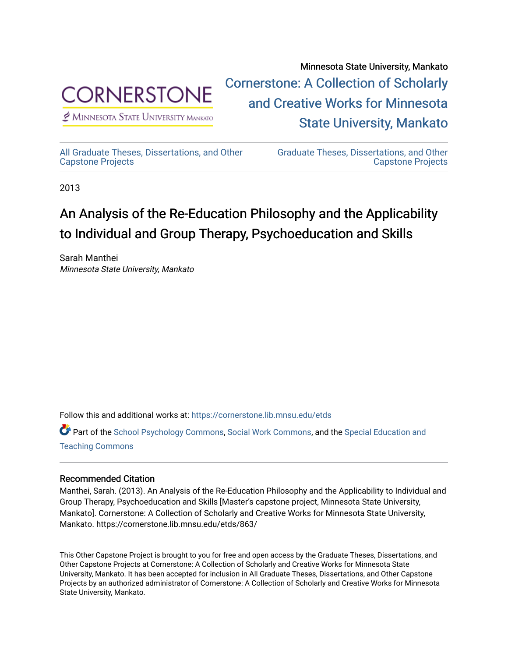

[Cornerstone: A Collection of Scholarly](https://cornerstone.lib.mnsu.edu/)  [and Creative Works for Minnesota](https://cornerstone.lib.mnsu.edu/)   $<sup>2</sup>$  Minnesota State University Mankato</sup> [State University, Mankato](https://cornerstone.lib.mnsu.edu/) 

[All Graduate Theses, Dissertations, and Other](https://cornerstone.lib.mnsu.edu/etds)  [Capstone Projects](https://cornerstone.lib.mnsu.edu/etds) 

[Graduate Theses, Dissertations, and Other](https://cornerstone.lib.mnsu.edu/theses_dissertations-capstone)  [Capstone Projects](https://cornerstone.lib.mnsu.edu/theses_dissertations-capstone) 

Minnesota State University, Mankato

2013

### An Analysis of the Re-Education Philosophy and the Applicability to Individual and Group Therapy, Psychoeducation and Skills

Sarah Manthei Minnesota State University, Mankato

Follow this and additional works at: [https://cornerstone.lib.mnsu.edu/etds](https://cornerstone.lib.mnsu.edu/etds?utm_source=cornerstone.lib.mnsu.edu%2Fetds%2F863&utm_medium=PDF&utm_campaign=PDFCoverPages) 

Part of the [School Psychology Commons,](http://network.bepress.com/hgg/discipline/1072?utm_source=cornerstone.lib.mnsu.edu%2Fetds%2F863&utm_medium=PDF&utm_campaign=PDFCoverPages) [Social Work Commons](http://network.bepress.com/hgg/discipline/713?utm_source=cornerstone.lib.mnsu.edu%2Fetds%2F863&utm_medium=PDF&utm_campaign=PDFCoverPages), and the Special Education and [Teaching Commons](http://network.bepress.com/hgg/discipline/801?utm_source=cornerstone.lib.mnsu.edu%2Fetds%2F863&utm_medium=PDF&utm_campaign=PDFCoverPages)

### Recommended Citation

Manthei, Sarah. (2013). An Analysis of the Re-Education Philosophy and the Applicability to Individual and Group Therapy, Psychoeducation and Skills [Master's capstone project, Minnesota State University, Mankato]. Cornerstone: A Collection of Scholarly and Creative Works for Minnesota State University, Mankato. https://cornerstone.lib.mnsu.edu/etds/863/

This Other Capstone Project is brought to you for free and open access by the Graduate Theses, Dissertations, and Other Capstone Projects at Cornerstone: A Collection of Scholarly and Creative Works for Minnesota State University, Mankato. It has been accepted for inclusion in All Graduate Theses, Dissertations, and Other Capstone Projects by an authorized administrator of Cornerstone: A Collection of Scholarly and Creative Works for Minnesota State University, Mankato.